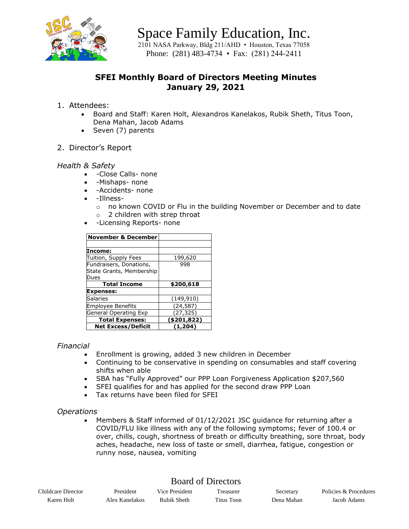

Space Family Education, Inc.

 $2101$  NASA Parkway, Bldg 211/AHD • Houston, Texas 77058 Phone: (281) 483-4734 • Fax: (281) 244-2411

# **SFEI Monthly Board of Directors Meeting Minutes January 29, 2021**

## 1. Attendees:

- Board and Staff: Karen Holt, Alexandros Kanelakos, Rubik Sheth, Titus Toon, Dena Mahan, Jacob Adams
- Seven (7) parents

## 2. Director's Report

## *Health & Safety*

- -Close Calls- none
- -Mishaps- none
- -Accidents- none
- -Illness
	- o no known COVID or Flu in the building November or December and to date
	- o 2 children with strep throat
- -Licensing Reports- none

| <b>November &amp; December</b> |             |
|--------------------------------|-------------|
|                                |             |
| Income:                        |             |
| Tuition, Supply Fees           | 199,620     |
| Fundraisers, Donations,        | 998         |
| State Grants, Membership       |             |
| Dues                           |             |
| <b>Total Income</b>            | \$200,618   |
| <b>Expenses:</b>               |             |
| Salaries                       | (149, 910)  |
|                                |             |
| <b>Employee Benefits</b>       | (24, 587)   |
| General Operating Exp          | (27,325)    |
| <b>Total Expenses:</b>         | (\$201,822) |

## *Financial*

- Enrollment is growing, added 3 new children in December
- Continuing to be conservative in spending on consumables and staff covering shifts when able
- SBA has "Fully Approved" our PPP Loan Forgiveness Application \$207,560
- SFEI qualifies for and has applied for the second draw PPP Loan
- Tax returns have been filed for SFEI

## *Operations*

• Members & Staff informed of 01/12/2021 JSC guidance for returning after a COVID/FLU like illness with any of the following symptoms; fever of 100.4 or over, chills, cough, shortness of breath or difficulty breathing, sore throat, body aches, headache, new loss of taste or smell, diarrhea, fatigue, congestion or runny nose, nausea, vomiting

# Board of Directors

| Childcare Director | President      | Vice President | reasurer   | Secretary  | Policies & Procedures |
|--------------------|----------------|----------------|------------|------------|-----------------------|
| Karen Holt         | Alex Kanelakos | Rubik Sheth    | Titus Toon | Dena Mahan | Jacob Adams           |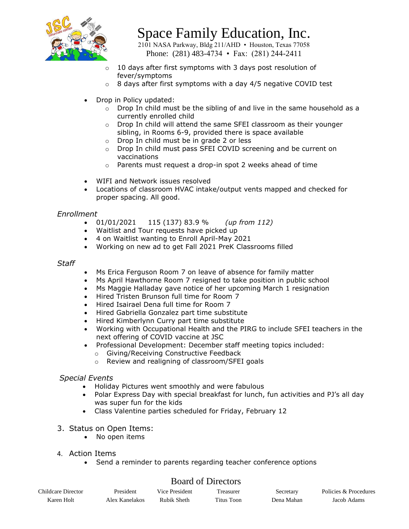

# Space Family Education, Inc.

 $2101$  NASA Parkway, Bldg 211/AHD • Houston, Texas 77058 Phone: (281) 483-4734 • Fax: (281) 244-2411

- $\circ$  10 days after first symptoms with 3 days post resolution of fever/symptoms
- $\circ$  8 days after first symptoms with a day 4/5 negative COVID test
- Drop in Policy updated:
	- $\circ$  Drop In child must be the sibling of and live in the same household as a currently enrolled child
	- $\circ$  Drop In child will attend the same SFEI classroom as their younger sibling, in Rooms 6-9, provided there is space available
	- o Drop In child must be in grade 2 or less
	- o Drop In child must pass SFEI COVID screening and be current on vaccinations
	- o Parents must request a drop-in spot 2 weeks ahead of time
- WIFI and Network issues resolved
- Locations of classroom HVAC intake/output vents mapped and checked for proper spacing. All good.

## *Enrollment*

- 01/01/2021 115 (137) 83.9 % *(up from 112)*
- Waitlist and Tour requests have picked up
- 4 on Waitlist wanting to Enroll April-May 2021
- Working on new ad to get Fall 2021 PreK Classrooms filled

#### *Staff*

- Ms Erica Ferguson Room 7 on leave of absence for family matter
- Ms April Hawthorne Room 7 resigned to take position in public school
- Ms Maggie Halladay gave notice of her upcoming March 1 resignation
- Hired Tristen Brunson full time for Room 7
- Hired Isairael Dena full time for Room 7
- Hired Gabriella Gonzalez part time substitute
- Hired Kimberlynn Curry part time substitute
- Working with Occupational Health and the PIRG to include SFEI teachers in the next offering of COVID vaccine at JSC
- Professional Development: December staff meeting topics included:
	- o Giving/Receiving Constructive Feedback
	- o Review and realigning of classroom/SFEI goals

## *Special Events*

- Holiday Pictures went smoothly and were fabulous
- Polar Express Day with special breakfast for lunch, fun activities and PJ's all day was super fun for the kids
- Class Valentine parties scheduled for Friday, February 12
- 3. Status on Open Items:
	- No open items
- 4. Action Items
	- Send a reminder to parents regarding teacher conference options

## Board of Directors

| Childcare Director | President      | Vice President | l reasurer | Secretary  | Policies & Procedures |
|--------------------|----------------|----------------|------------|------------|-----------------------|
| Karen Holt         | Alex Kanelakos | Rubik Sheth    | Titus Toon | Dena Mahan | Jacob Adams           |